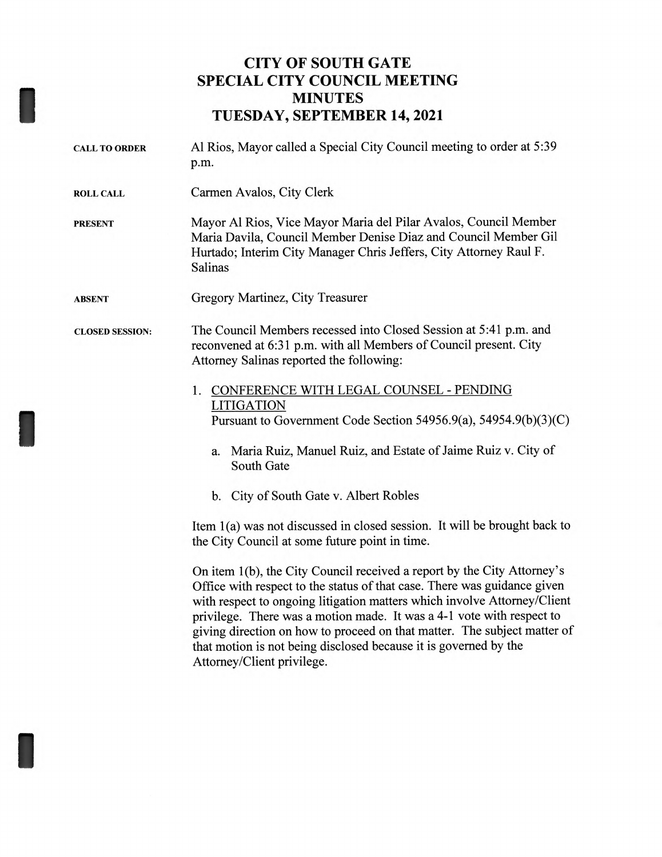## **CITY OF SOUTH GATE SPECIAL CITY COUNCIL MEETING MINUTES TUESDAY, SEPTEMBER 14, 2021**

| <b>CALL TO ORDER</b>   | Al Rios, Mayor called a Special City Council meeting to order at 5:39<br>p.m.                                                                                                                                                                                                                                                                                                                                                                            |
|------------------------|----------------------------------------------------------------------------------------------------------------------------------------------------------------------------------------------------------------------------------------------------------------------------------------------------------------------------------------------------------------------------------------------------------------------------------------------------------|
| <b>ROLL CALL</b>       | Carmen Avalos, City Clerk                                                                                                                                                                                                                                                                                                                                                                                                                                |
| <b>PRESENT</b>         | Mayor Al Rios, Vice Mayor Maria del Pilar Avalos, Council Member<br>Maria Davila, Council Member Denise Diaz and Council Member Gil<br>Hurtado; Interim City Manager Chris Jeffers, City Attorney Raul F.<br>Salinas                                                                                                                                                                                                                                     |
| <b>ABSENT</b>          | Gregory Martinez, City Treasurer                                                                                                                                                                                                                                                                                                                                                                                                                         |
| <b>CLOSED SESSION:</b> | The Council Members recessed into Closed Session at 5:41 p.m. and<br>reconvened at 6:31 p.m. with all Members of Council present. City<br>Attorney Salinas reported the following:                                                                                                                                                                                                                                                                       |
|                        | CONFERENCE WITH LEGAL COUNSEL - PENDING<br>1.<br><b>LITIGATION</b><br>Pursuant to Government Code Section 54956.9(a), 54954.9(b)(3)(C)                                                                                                                                                                                                                                                                                                                   |
|                        | Maria Ruiz, Manuel Ruiz, and Estate of Jaime Ruiz v. City of<br>a.<br>South Gate                                                                                                                                                                                                                                                                                                                                                                         |
|                        | b. City of South Gate v. Albert Robles                                                                                                                                                                                                                                                                                                                                                                                                                   |
|                        | Item 1(a) was not discussed in closed session. It will be brought back to<br>the City Council at some future point in time.                                                                                                                                                                                                                                                                                                                              |
|                        | On item 1(b), the City Council received a report by the City Attorney's<br>Office with respect to the status of that case. There was guidance given<br>with respect to ongoing litigation matters which involve Attorney/Client<br>privilege. There was a motion made. It was a 4-1 vote with respect to<br>giving direction on how to proceed on that matter. The subject matter of<br>that motion is not being disclosed because it is governed by the |

Attorney/Client privilege.